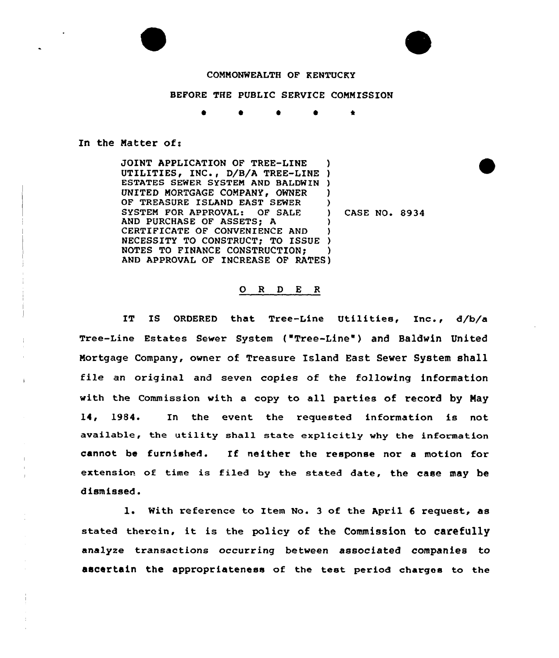# COMMONWEALTH OF KENTUCRY

## BEFORE THE PUBLIC SERVICE COMMISSION

 $\bullet$ 

#### In the Matter of:

JOINT APPLICATION OF TREE-LINE JOINT APPLICATION OF TREE-LINE )<br>UTILITIES, INC., D/B/A TREE-LINE ) ESTATES SEWER SYSTEM AND BALDWIN ) UNITED MORTGAGE COMPANY, OWNER OF TREASURE ISLAND EAST SEWER SYSTEM FOR APPROVAL: OF SALE AND PURCHASE OF ASSETS; A CERTIFICATE OF CONVENIENCE AND CERTIFICATE OF CONVENIENCE AND<br>NECESSITY TO CONSTRUCT; TO ISSUE ) NOTES TO FINANCE CONSTRUCTION; AND APPROVAL OF INCREASE OF RATES ) ) ) CASE NO. 8934 ) ) ) )

### 0 <sup>R</sup> <sup>D</sup> E <sup>R</sup>

IT IS ORDERED that Tree-Line Utilities, Inc., d/b/a Tree-Line Estates Sewer System ("Tree-Line" ) and Baldwin United Mortgage Company, owner of Treasure Island East Sever System shall file an original and seven copies of the following information with the Commission with a copy to all parties of record by Nay 14, 1984. In the event the requested information is not available, the utility shall state explicitly why the information cannot be furnished. If neither the response nor <sup>a</sup> motion for extension of time is filed by the stated date, the case may be dismissed.

1. With reference to Item No. 3 of the April 6 request, as stated therein, it is the policy of the Commission to carefully analyze transactions occurring between associated companies to ascertain the appropriateness of the test period charges to the